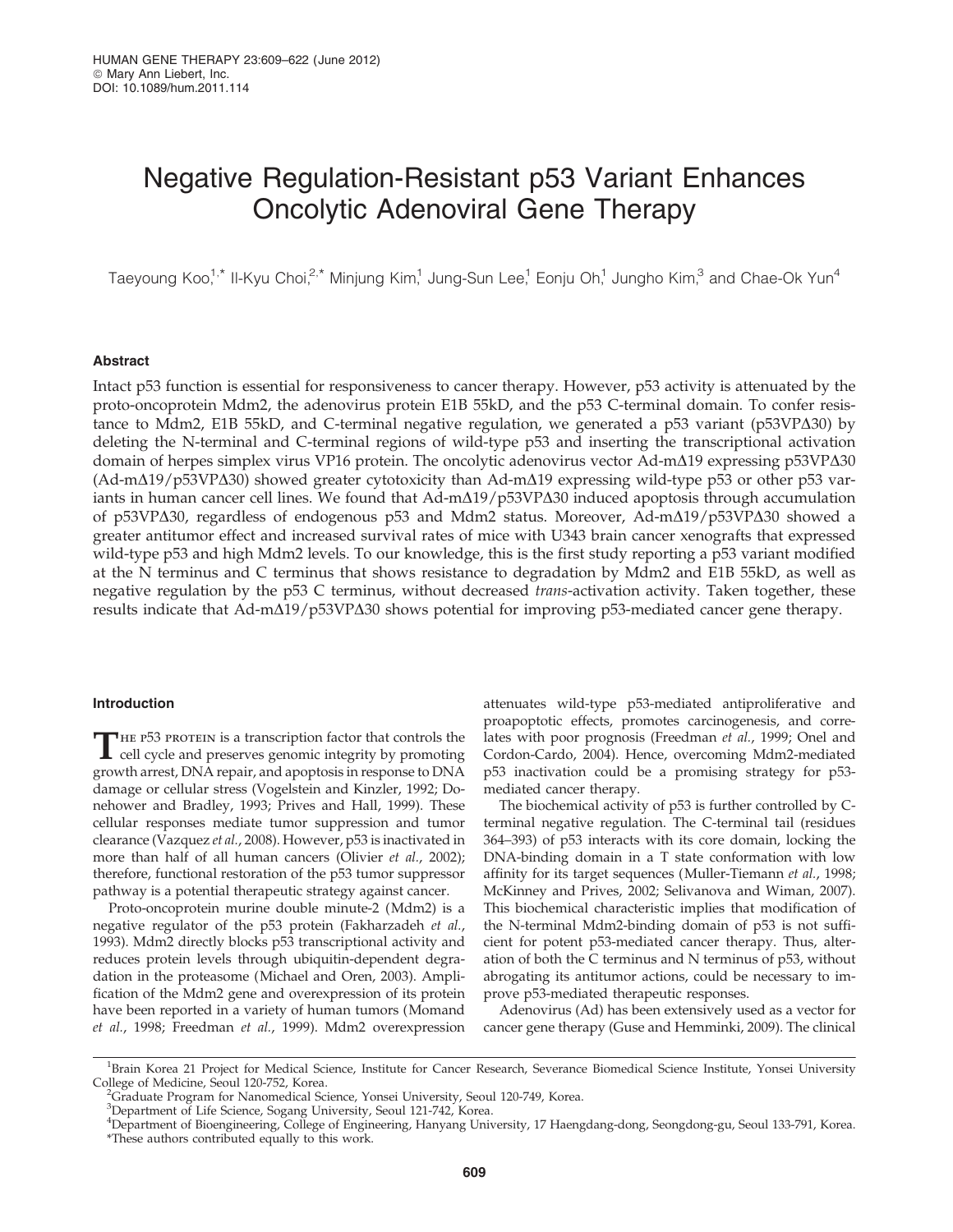# Negative Regulation-Resistant p53 Variant Enhances Oncolytic Adenoviral Gene Therapy

Taeyoung Koo,<sup>1,\*</sup> Il-Kyu Choi,<sup>2,\*</sup> Minjung Kim,<sup>1</sup> Jung-Sun Lee,<sup>1</sup> Eonju Oh,<sup>1</sup> Jungho Kim,<sup>3</sup> and Chae-Ok Yun<sup>4</sup>

## Abstract

Intact p53 function is essential for responsiveness to cancer therapy. However, p53 activity is attenuated by the proto-oncoprotein Mdm2, the adenovirus protein E1B 55kD, and the p53 C-terminal domain. To confer resistance to Mdm2, E1B 55kD, and C-terminal negative regulation, we generated a  $p53$  variant ( $p53VP\Delta30$ ) by deleting the N-terminal and C-terminal regions of wild-type p53 and inserting the transcriptional activation domain of herpes simplex virus VP16 protein. The oncolytic adenovirus vector Ad-m $\Delta$ 19 expressing p53VP $\Delta$ 30  $(Ad-m\Delta19/p53VP\Delta30)$  showed greater cytotoxicity than Ad-m $\Delta19$  expressing wild-type p53 or other p53 variants in human cancer cell lines. We found that  $Ad-m\Delta19/p53VP\Delta30$  induced apoptosis through accumulation of p53VP $\Delta$ 30, regardless of endogenous p53 and Mdm2 status. Moreover, Ad-m $\Delta$ 19/p53VP $\Delta$ 30 showed a greater antitumor effect and increased survival rates of mice with U343 brain cancer xenografts that expressed wild-type p53 and high Mdm2 levels. To our knowledge, this is the first study reporting a p53 variant modified at the N terminus and C terminus that shows resistance to degradation by Mdm2 and E1B 55kD, as well as negative regulation by the p53 C terminus, without decreased *trans*-activation activity. Taken together, these results indicate that  $Ad-m\Delta 19/p53VP\Delta 30$  shows potential for improving p53-mediated cancer gene therapy.

## Introduction

THE P53 PROTEIN is a transcription factor that controls the cell cycle and preserves genomic integrity by promoting growth arrest, DNA repair, and apoptosis in response to DNA damage or cellular stress (Vogelstein and Kinzler, 1992; Donehower and Bradley, 1993; Prives and Hall, 1999). These cellular responses mediate tumor suppression and tumor clearance (Vazquez et al., 2008). However, p53 is inactivated in more than half of all human cancers (Olivier et al., 2002); therefore, functional restoration of the p53 tumor suppressor pathway is a potential therapeutic strategy against cancer.

Proto-oncoprotein murine double minute-2 (Mdm2) is a negative regulator of the p53 protein (Fakharzadeh et al., 1993). Mdm2 directly blocks p53 transcriptional activity and reduces protein levels through ubiquitin-dependent degradation in the proteasome (Michael and Oren, 2003). Amplification of the Mdm2 gene and overexpression of its protein have been reported in a variety of human tumors (Momand et al., 1998; Freedman et al., 1999). Mdm2 overexpression attenuates wild-type p53-mediated antiproliferative and proapoptotic effects, promotes carcinogenesis, and correlates with poor prognosis (Freedman et al., 1999; Onel and Cordon-Cardo, 2004). Hence, overcoming Mdm2-mediated p53 inactivation could be a promising strategy for p53 mediated cancer therapy.

The biochemical activity of p53 is further controlled by Cterminal negative regulation. The C-terminal tail (residues 364–393) of p53 interacts with its core domain, locking the DNA-binding domain in a T state conformation with low affinity for its target sequences (Muller-Tiemann et al., 1998; McKinney and Prives, 2002; Selivanova and Wiman, 2007). This biochemical characteristic implies that modification of the N-terminal Mdm2-binding domain of p53 is not sufficient for potent p53-mediated cancer therapy. Thus, alteration of both the C terminus and N terminus of p53, without abrogating its antitumor actions, could be necessary to improve p53-mediated therapeutic responses.

Adenovirus (Ad) has been extensively used as a vector for cancer gene therapy (Guse and Hemminki, 2009). The clinical

<sup>&</sup>lt;sup>1</sup>Brain Korea 21 Project for Medical Science, Institute for Cancer Research, Severance Biomedical Science Institute, Yonsei University College of Medicine, Seoul 120-752, Korea. <sup>2</sup>

<sup>&</sup>lt;sup>2</sup>Graduate Program for Nanomedical Science, Yonsei University, Seoul 120-749, Korea.

<sup>&</sup>lt;sup>3</sup>Department of Life Science, Sogang University, Seoul 121-742, Korea.

<sup>4</sup> Department of Bioengineering, College of Engineering, Hanyang University, 17 Haengdang-dong, Seongdong-gu, Seoul 133-791, Korea. \*These authors contributed equally to this work.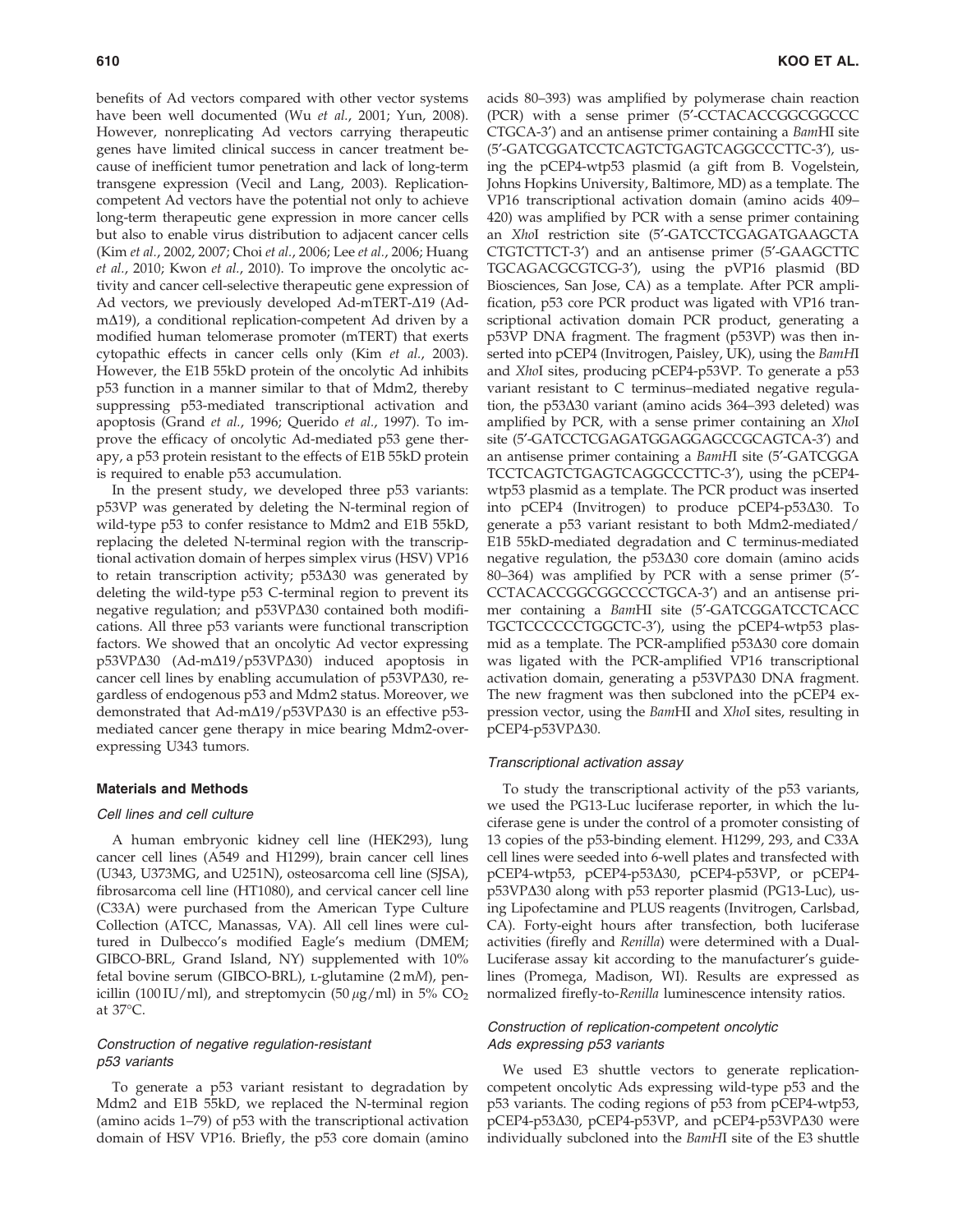benefits of Ad vectors compared with other vector systems have been well documented (Wu et al., 2001; Yun, 2008). However, nonreplicating Ad vectors carrying therapeutic genes have limited clinical success in cancer treatment because of inefficient tumor penetration and lack of long-term transgene expression (Vecil and Lang, 2003). Replicationcompetent Ad vectors have the potential not only to achieve long-term therapeutic gene expression in more cancer cells but also to enable virus distribution to adjacent cancer cells (Kim et al., 2002, 2007; Choi et al., 2006; Lee et al., 2006; Huang et al., 2010; Kwon et al., 2010). To improve the oncolytic activity and cancer cell-selective therapeutic gene expression of Ad vectors, we previously developed Ad-mTERT- $\Delta$ 19 (Ad $m\Delta$ 19), a conditional replication-competent Ad driven by a modified human telomerase promoter (mTERT) that exerts cytopathic effects in cancer cells only (Kim et al., 2003). However, the E1B 55kD protein of the oncolytic Ad inhibits p53 function in a manner similar to that of Mdm2, thereby suppressing p53-mediated transcriptional activation and apoptosis (Grand et al., 1996; Querido et al., 1997). To improve the efficacy of oncolytic Ad-mediated p53 gene therapy, a p53 protein resistant to the effects of E1B 55kD protein is required to enable p53 accumulation.

In the present study, we developed three p53 variants: p53VP was generated by deleting the N-terminal region of wild-type p53 to confer resistance to Mdm2 and E1B 55kD, replacing the deleted N-terminal region with the transcriptional activation domain of herpes simplex virus (HSV) VP16 to retain transcription activity;  $p53\Delta30$  was generated by deleting the wild-type p53 C-terminal region to prevent its negative regulation; and  $p53VP\Delta30$  contained both modifications. All three p53 variants were functional transcription factors. We showed that an oncolytic Ad vector expressing  $p53VP\Delta30$  (Ad-m $\Delta19/p53VP\Delta30$ ) induced apoptosis in cancer cell lines by enabling accumulation of  $p53VP\Delta30$ , regardless of endogenous p53 and Mdm2 status. Moreover, we demonstrated that Ad-m $\Delta$ 19/p53VP $\Delta$ 30 is an effective p53mediated cancer gene therapy in mice bearing Mdm2-overexpressing U343 tumors.

#### Materials and Methods

## Cell lines and cell culture

A human embryonic kidney cell line (HEK293), lung cancer cell lines (A549 and H1299), brain cancer cell lines (U343, U373MG, and U251N), osteosarcoma cell line (SJSA), fibrosarcoma cell line (HT1080), and cervical cancer cell line (C33A) were purchased from the American Type Culture Collection (ATCC, Manassas, VA). All cell lines were cultured in Dulbecco's modified Eagle's medium (DMEM; GIBCO-BRL, Grand Island, NY) supplemented with 10% fetal bovine serum (GIBCO-BRL), L-glutamine (2 mM), penicillin (100 IU/ml), and streptomycin (50  $\mu$ g/ml) in 5% CO<sub>2</sub> at 37°C.

## Construction of negative regulation-resistant p53 variants

To generate a p53 variant resistant to degradation by Mdm2 and E1B 55kD, we replaced the N-terminal region (amino acids 1–79) of p53 with the transcriptional activation domain of HSV VP16. Briefly, the p53 core domain (amino acids 80–393) was amplified by polymerase chain reaction (PCR) with a sense primer (5'-CCTACACCGGCGGCCC CTGCA-3<sup>'</sup>) and an antisense primer containing a *BamHI* site (5'-GATCGGATCCTCAGTCTGAGTCAGGCCCTTC-3'), using the pCEP4-wtp53 plasmid (a gift from B. Vogelstein, Johns Hopkins University, Baltimore, MD) as a template. The VP16 transcriptional activation domain (amino acids 409– 420) was amplified by PCR with a sense primer containing an XhoI restriction site (5'-GATCCTCGAGATGAAGCTA CTGTCTTCT-3') and an antisense primer (5'-GAAGCTTC TGCAGACGCGTCG-3'), using the pVP16 plasmid (BD Biosciences, San Jose, CA) as a template. After PCR amplification, p53 core PCR product was ligated with VP16 transcriptional activation domain PCR product, generating a p53VP DNA fragment. The fragment (p53VP) was then inserted into pCEP4 (Invitrogen, Paisley, UK), using the BamHI and XhoI sites, producing pCEP4-p53VP. To generate a p53 variant resistant to C terminus–mediated negative regulation, the  $p53\Delta30$  variant (amino acids 364–393 deleted) was amplified by PCR, with a sense primer containing an XhoI site (5'-GATCCTCGAGATGGAGGAGCCGCAGTCA-3') and an antisense primer containing a BamHI site (5'-GATCGGA TCCTCAGTCTGAGTCAGGCCCTTC-3'), using the pCEP4wtp53 plasmid as a template. The PCR product was inserted into pCEP4 (Invitrogen) to produce pCEP4-p53 $\Delta$ 30. To generate a p53 variant resistant to both Mdm2-mediated/ E1B 55kD-mediated degradation and C terminus-mediated negative regulation, the  $p53\Delta30$  core domain (amino acids 80–364) was amplified by PCR with a sense primer (5¢- CCTACACCGGCGGCCCCTGCA-3<sup>'</sup>) and an antisense primer containing a BamHI site (5'-GATCGGATCCTCACC TGCTCCCCCCTGGCTC-3'), using the pCEP4-wtp53 plasmid as a template. The PCR-amplified  $p53\Delta30$  core domain was ligated with the PCR-amplified VP16 transcriptional activation domain, generating a p53VP $\Delta$ 30 DNA fragment. The new fragment was then subcloned into the pCEP4 expression vector, using the BamHI and XhoI sites, resulting in  $pCEP4-p53VP $\Delta$ 30.$ 

#### Transcriptional activation assay

To study the transcriptional activity of the p53 variants, we used the PG13-Luc luciferase reporter, in which the luciferase gene is under the control of a promoter consisting of 13 copies of the p53-binding element. H1299, 293, and C33A cell lines were seeded into 6-well plates and transfected with pCEP4-wtp53, pCEP4-p53D30, pCEP4-p53VP, or pCEP4 p53VPΔ30 along with p53 reporter plasmid (PG13-Luc), using Lipofectamine and PLUS reagents (Invitrogen, Carlsbad, CA). Forty-eight hours after transfection, both luciferase activities (firefly and Renilla) were determined with a Dual-Luciferase assay kit according to the manufacturer's guidelines (Promega, Madison, WI). Results are expressed as normalized firefly-to-Renilla luminescence intensity ratios.

## Construction of replication-competent oncolytic Ads expressing p53 variants

We used E3 shuttle vectors to generate replicationcompetent oncolytic Ads expressing wild-type p53 and the p53 variants. The coding regions of p53 from pCEP4-wtp53, pCEP4-p53 $\Delta$ 30, pCEP4-p53VP, and pCEP4-p53VP $\Delta$ 30 were individually subcloned into the BamHI site of the E3 shuttle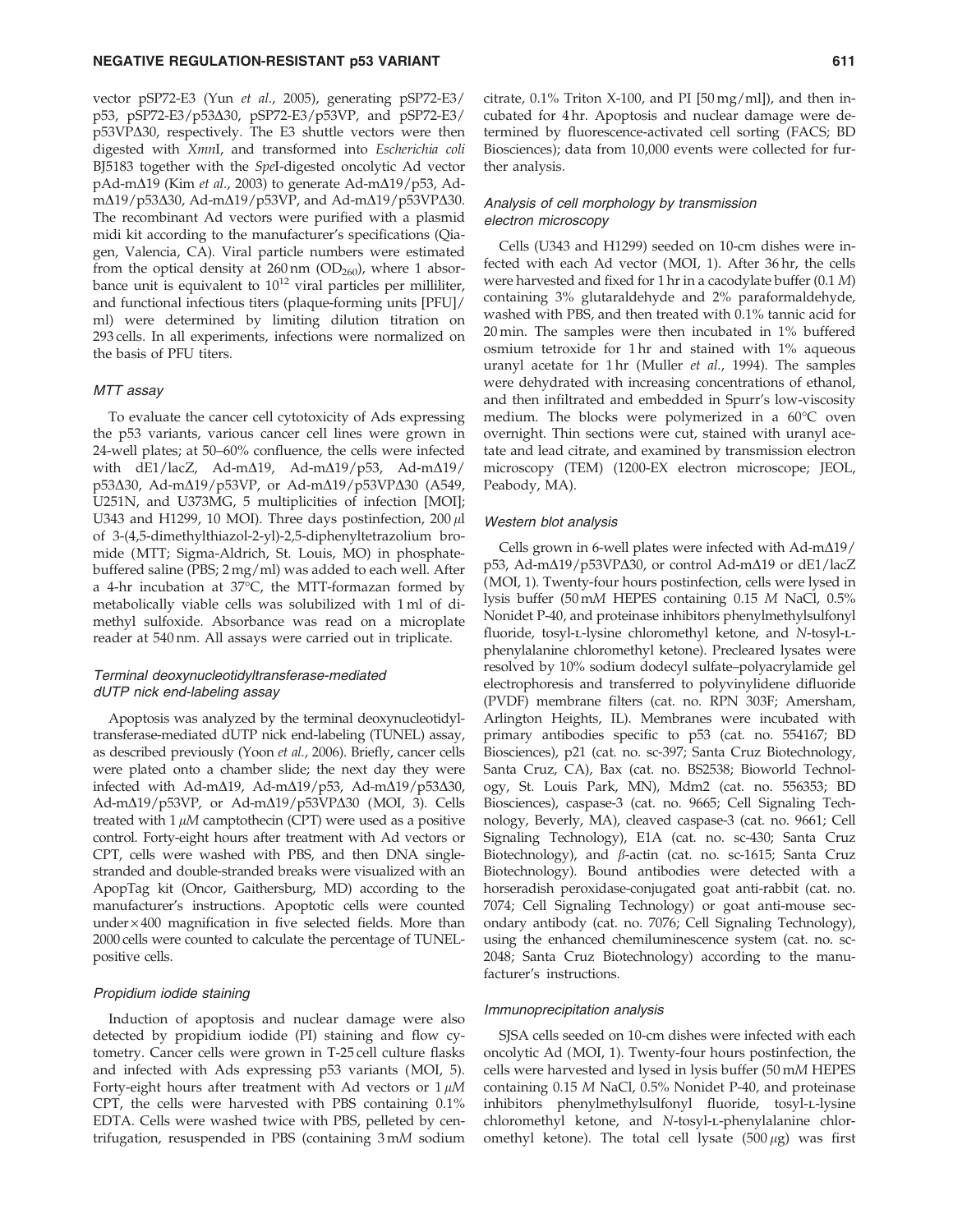#### NEGATIVE REGULATION-RESISTANT p53 VARIANT 611

vector pSP72-E3 (Yun et al., 2005), generating pSP72-E3/ p53, pSP72-E3/p53 $\Delta$ 30, pSP72-E3/p53VP, and pSP72-E3/  $p53VP\Delta30$ , respectively. The E3 shuttle vectors were then digested with XmnI, and transformed into Escherichia coli BJ5183 together with the SpeI-digested oncolytic Ad vector  $pAd-m\Delta 19$  (Kim *et al.*, 2003) to generate Ad-m $\Delta 19/p53$ , AdmΔ19/p53Δ30, Ad-mΔ19/p53VP, and Ad-mΔ19/p53VPΔ30. The recombinant Ad vectors were purified with a plasmid midi kit according to the manufacturer's specifications (Qiagen, Valencia, CA). Viral particle numbers were estimated from the optical density at  $260 \text{ nm}$  (OD<sub>260</sub>), where 1 absorbance unit is equivalent to  $10^{12}$  viral particles per milliliter, and functional infectious titers (plaque-forming units [PFU]/ ml) were determined by limiting dilution titration on 293 cells. In all experiments, infections were normalized on the basis of PFU titers.

#### MTT assay

To evaluate the cancer cell cytotoxicity of Ads expressing the p53 variants, various cancer cell lines were grown in 24-well plates; at 50–60% confluence, the cells were infected with dE1/lacZ, Ad-m $\Delta$ 19, Ad-m $\Delta$ 19/p53, Ad-m $\Delta$ 19/ p53Δ30, Ad-mΔ19/p53VP, or Ad-mΔ19/p53VPΔ30 (A549, U251N, and U373MG, 5 multiplicities of infection [MOI]; U343 and H1299, 10 MOI). Three days postinfection,  $200 \mu$ l of 3-(4,5-dimethylthiazol-2-yl)-2,5-diphenyltetrazolium bromide (MTT; Sigma-Aldrich, St. Louis, MO) in phosphatebuffered saline (PBS; 2 mg/ml) was added to each well. After a 4-hr incubation at 37°C, the MTT-formazan formed by metabolically viable cells was solubilized with 1 ml of dimethyl sulfoxide. Absorbance was read on a microplate reader at 540 nm. All assays were carried out in triplicate.

## Terminal deoxynucleotidyltransferase-mediated dUTP nick end-labeling assay

Apoptosis was analyzed by the terminal deoxynucleotidyltransferase-mediated dUTP nick end-labeling (TUNEL) assay, as described previously (Yoon et al., 2006). Briefly, cancer cells were plated onto a chamber slide; the next day they were infected with Ad-m $\Delta$ 19, Ad-m $\Delta$ 19/p53, Ad-m $\Delta$ 19/p53 $\Delta$ 30, Ad-m $\Delta$ 19/p53VP, or Ad-m $\Delta$ 19/p53VP $\Delta$ 30 (MOI, 3). Cells treated with  $1 \mu M$  camptothecin (CPT) were used as a positive control. Forty-eight hours after treatment with Ad vectors or CPT, cells were washed with PBS, and then DNA singlestranded and double-stranded breaks were visualized with an ApopTag kit (Oncor, Gaithersburg, MD) according to the manufacturer's instructions. Apoptotic cells were counted  $under \times 400$  magnification in five selected fields. More than 2000 cells were counted to calculate the percentage of TUNELpositive cells.

#### Propidium iodide staining

Induction of apoptosis and nuclear damage were also detected by propidium iodide (PI) staining and flow cytometry. Cancer cells were grown in T-25 cell culture flasks and infected with Ads expressing p53 variants (MOI, 5). Forty-eight hours after treatment with Ad vectors or  $1 \mu M$ CPT, the cells were harvested with PBS containing 0.1% EDTA. Cells were washed twice with PBS, pelleted by centrifugation, resuspended in PBS (containing 3 mM sodium citrate,  $0.1\%$  Triton X-100, and PI [50 mg/ml]), and then incubated for 4 hr. Apoptosis and nuclear damage were determined by fluorescence-activated cell sorting (FACS; BD Biosciences); data from 10,000 events were collected for further analysis.

### Analysis of cell morphology by transmission electron microscopy

Cells (U343 and H1299) seeded on 10-cm dishes were infected with each Ad vector (MOI, 1). After 36 hr, the cells were harvested and fixed for 1 hr in a cacodylate buffer (0.1 M) containing 3% glutaraldehyde and 2% paraformaldehyde, washed with PBS, and then treated with 0.1% tannic acid for 20 min. The samples were then incubated in 1% buffered osmium tetroxide for 1 hr and stained with 1% aqueous uranyl acetate for 1 hr (Muller et al., 1994). The samples were dehydrated with increasing concentrations of ethanol, and then infiltrated and embedded in Spurr's low-viscosity medium. The blocks were polymerized in a 60°C oven overnight. Thin sections were cut, stained with uranyl acetate and lead citrate, and examined by transmission electron microscopy (TEM) (1200-EX electron microscope; JEOL, Peabody, MA).

#### Western blot analysis

Cells grown in 6-well plates were infected with  $Ad-m\Delta19/$ p53, Ad-mΔ19/p53VPΔ30, or control Ad-mΔ19 or dE1/lacZ (MOI, 1). Twenty-four hours postinfection, cells were lysed in lysis buffer (50 mM HEPES containing 0.15 M NaCl, 0.5% Nonidet P-40, and proteinase inhibitors phenylmethylsulfonyl fluoride, tosyl-L-lysine chloromethyl ketone, and N-tosyl-Lphenylalanine chloromethyl ketone). Precleared lysates were resolved by 10% sodium dodecyl sulfate–polyacrylamide gel electrophoresis and transferred to polyvinylidene difluoride (PVDF) membrane filters (cat. no. RPN 303F; Amersham, Arlington Heights, IL). Membranes were incubated with primary antibodies specific to p53 (cat. no. 554167; BD Biosciences), p21 (cat. no. sc-397; Santa Cruz Biotechnology, Santa Cruz, CA), Bax (cat. no. BS2538; Bioworld Technology, St. Louis Park, MN), Mdm2 (cat. no. 556353; BD Biosciences), caspase-3 (cat. no. 9665; Cell Signaling Technology, Beverly, MA), cleaved caspase-3 (cat. no. 9661; Cell Signaling Technology), E1A (cat. no. sc-430; Santa Cruz Biotechnology), and  $\beta$ -actin (cat. no. sc-1615; Santa Cruz Biotechnology). Bound antibodies were detected with a horseradish peroxidase-conjugated goat anti-rabbit (cat. no. 7074; Cell Signaling Technology) or goat anti-mouse secondary antibody (cat. no. 7076; Cell Signaling Technology), using the enhanced chemiluminescence system (cat. no. sc-2048; Santa Cruz Biotechnology) according to the manufacturer's instructions.

## Immunoprecipitation analysis

SJSA cells seeded on 10-cm dishes were infected with each oncolytic Ad (MOI, 1). Twenty-four hours postinfection, the cells were harvested and lysed in lysis buffer (50 mM HEPES containing 0.15 M NaCl, 0.5% Nonidet P-40, and proteinase inhibitors phenylmethylsulfonyl fluoride, tosyl-L-lysine chloromethyl ketone, and N-tosyl-L-phenylalanine chloromethyl ketone). The total cell lysate  $(500 \,\mu\text{g})$  was first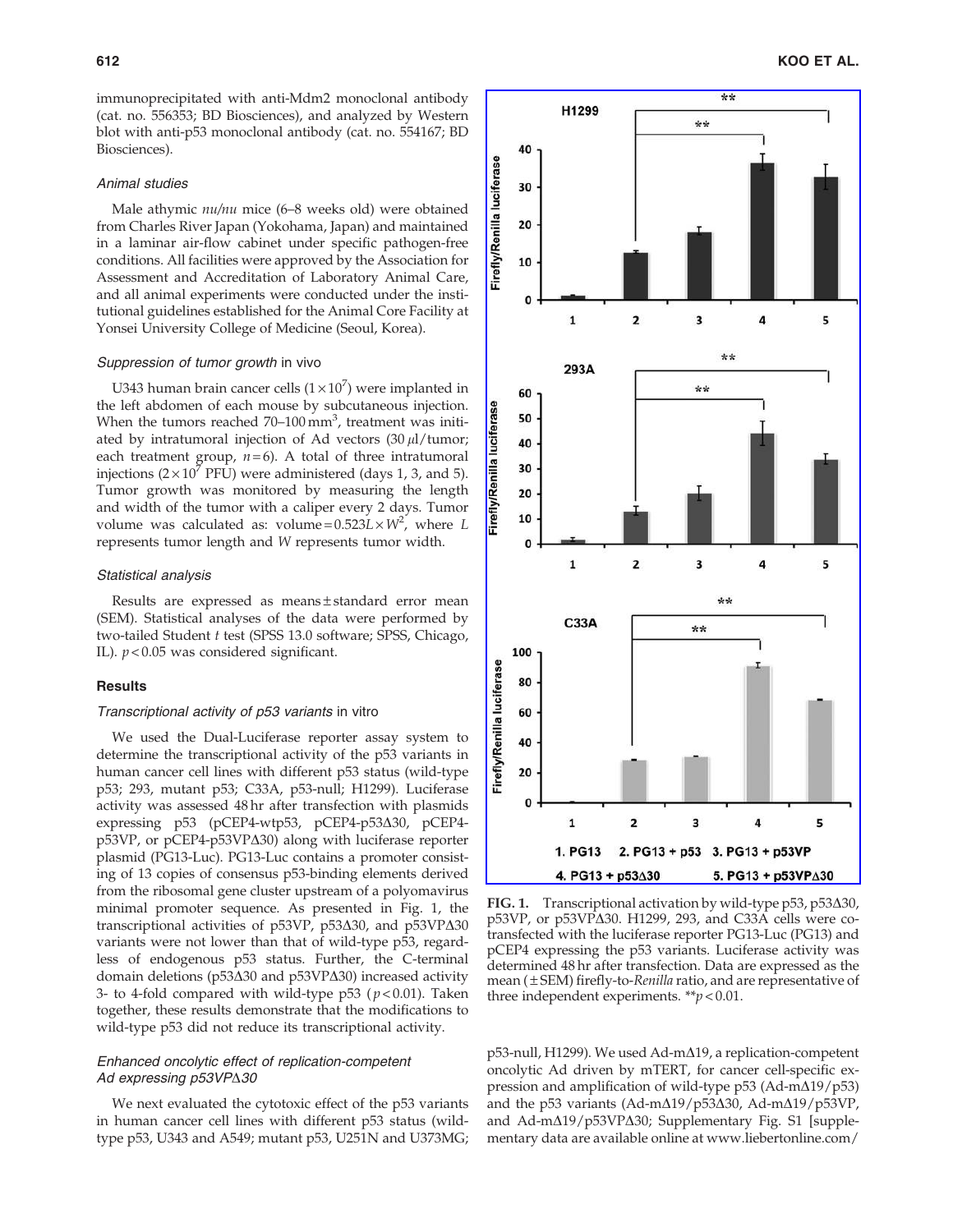immunoprecipitated with anti-Mdm2 monoclonal antibody (cat. no. 556353; BD Biosciences), and analyzed by Western blot with anti-p53 monoclonal antibody (cat. no. 554167; BD Biosciences).

#### Animal studies

Male athymic nu/nu mice (6–8 weeks old) were obtained from Charles River Japan (Yokohama, Japan) and maintained in a laminar air-flow cabinet under specific pathogen-free conditions. All facilities were approved by the Association for Assessment and Accreditation of Laboratory Animal Care, and all animal experiments were conducted under the institutional guidelines established for the Animal Core Facility at Yonsei University College of Medicine (Seoul, Korea).

#### Suppression of tumor growth in vivo

U343 human brain cancer cells  $(1 \times 10^7)$  were implanted in the left abdomen of each mouse by subcutaneous injection. When the tumors reached  $70-100$  mm<sup>3</sup>, treatment was initiated by intratumoral injection of Ad vectors  $(30 \mu l/tumor)$ ; each treatment group,  $n = 6$ ). A total of three intratumoral injections  $(2 \times 10^7 \text{ PFU})$  were administered (days 1, 3, and 5). Tumor growth was monitored by measuring the length and width of the tumor with a caliper every 2 days. Tumor volume was calculated as: volume= $0.523L \times W^2$ , where L represents tumor length and W represents tumor width.

## Statistical analysis

Results are expressed as means ± standard error mean (SEM). Statistical analyses of the data were performed by two-tailed Student t test (SPSS 13.0 software; SPSS, Chicago, IL).  $p < 0.05$  was considered significant.

#### **Results**

## Transcriptional activity of p53 variants in vitro

We used the Dual-Luciferase reporter assay system to determine the transcriptional activity of the p53 variants in human cancer cell lines with different p53 status (wild-type p53; 293, mutant p53; C33A, p53-null; H1299). Luciferase activity was assessed 48 hr after transfection with plasmids expressing p53 (pCEP4-wtp53, pCEP4-p53 $\triangle$ 30, pCEP4 $p53VP$ , or  $pCEP4-p53VP\Delta30$  along with luciferase reporter plasmid (PG13-Luc). PG13-Luc contains a promoter consisting of 13 copies of consensus p53-binding elements derived from the ribosomal gene cluster upstream of a polyomavirus minimal promoter sequence. As presented in Fig. 1, the transcriptional activities of p53VP, p53 $\Delta$ 30, and p53VP $\Delta$ 30 variants were not lower than that of wild-type p53, regardless of endogenous p53 status. Further, the C-terminal domain deletions ( $p53\Delta30$  and  $p53VP\Delta30$ ) increased activity 3- to 4-fold compared with wild-type p53 ( $p < 0.01$ ). Taken together, these results demonstrate that the modifications to wild-type p53 did not reduce its transcriptional activity.

## Enhanced oncolytic effect of replication-competent Ad expressing  $p53VP$  $30$

We next evaluated the cytotoxic effect of the p53 variants in human cancer cell lines with different p53 status (wildtype p53, U343 and A549; mutant p53, U251N and U373MG;



FIG. 1. Transcriptional activation by wild-type  $p53$ ,  $p53\Delta30$ , p53VP, or p53VP $\Delta$ 30. H1299, 293, and C33A cells were cotransfected with the luciferase reporter PG13-Luc (PG13) and pCEP4 expressing the p53 variants. Luciferase activity was determined 48 hr after transfection. Data are expressed as the mean  $(\pm$  SEM) firefly-to-Renilla ratio, and are representative of three independent experiments. \*\* $p < 0.01$ .

p53-null, H1299). We used Ad-m $\Delta$ 19, a replication-competent oncolytic Ad driven by mTERT, for cancer cell-specific expression and amplification of wild-type  $p53$  (Ad-m $\Delta$ 19/p53) and the p53 variants (Ad-m $\Delta$ 19/p53 $\Delta$ 30, Ad-m $\Delta$ 19/p53VP, and Ad-m $\Delta$ 19/p53VP $\Delta$ 30; Supplementary Fig. S1 [supplementary data are available online at www.liebertonline.com/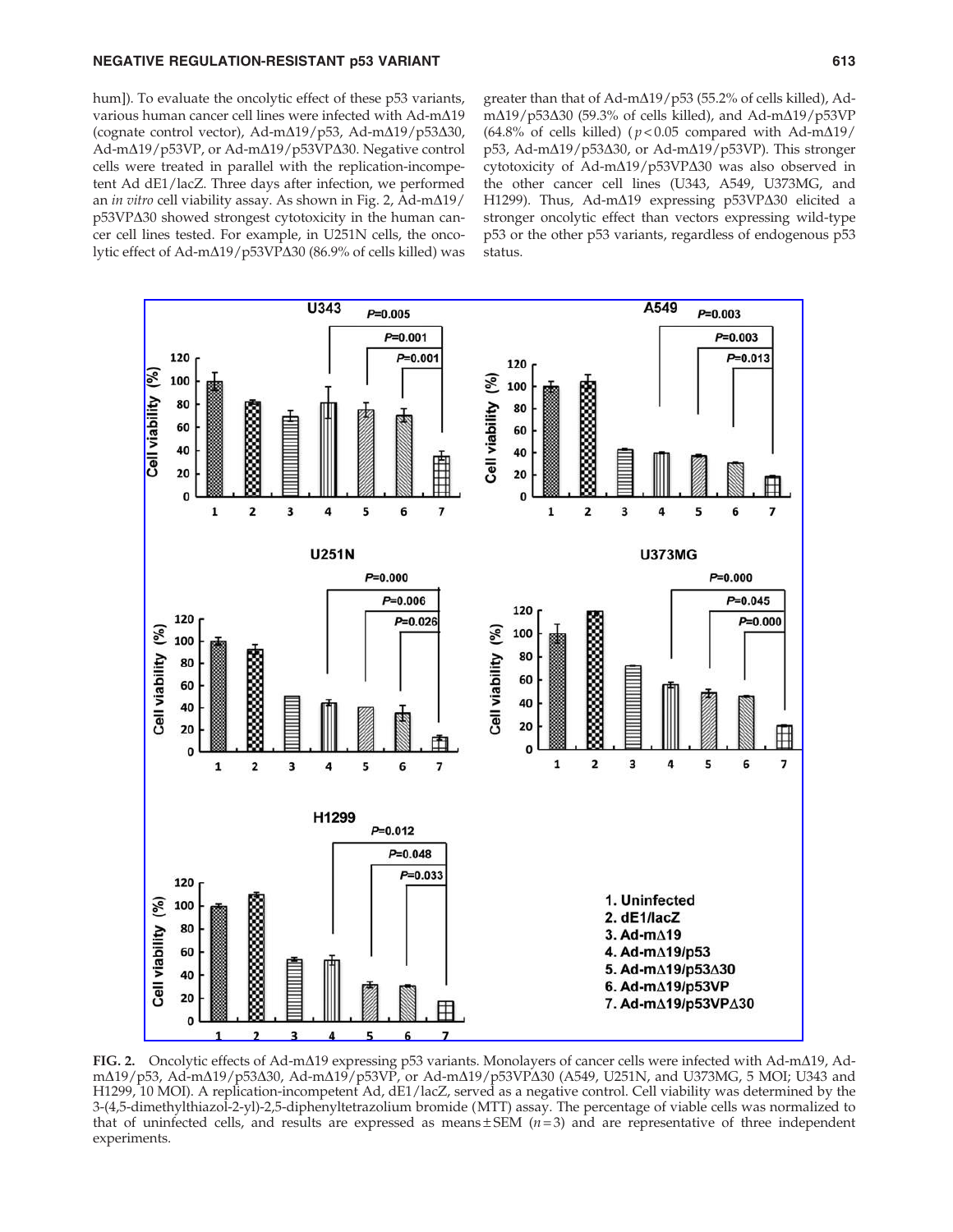## NEGATIVE REGULATION-RESISTANT p53 VARIANT **12000 12000 12000 12000 12000 13** 613

hum]). To evaluate the oncolytic effect of these p53 variants, various human cancer cell lines were infected with  $Ad-m\Delta19$ (cognate control vector), Ad-m $\Delta$ 19/p53, Ad-m $\Delta$ 19/p53 $\Delta$ 30, Ad-mΔ19/p53VP, or Ad-mΔ19/p53VPΔ30. Negative control cells were treated in parallel with the replication-incompetent Ad dE1/lacZ. Three days after infection, we performed an in vitro cell viability assay. As shown in Fig. 2, Ad-m $\Delta$ 19/  $p53VP\Delta30$  showed strongest cytotoxicity in the human cancer cell lines tested. For example, in U251N cells, the oncolytic effect of Ad-mΔ19/p53VPΔ30 (86.9% of cells killed) was greater than that of Ad-m $\Delta$ 19/p53 (55.2% of cells killed), Adm $\Delta$ 19/p53 $\Delta$ 30 (59.3% of cells killed), and Ad-m $\Delta$ 19/p53VP (64.8% of cells killed) ( $p$  < 0.05 compared with Ad-m $\Delta$ 19/ p53, Ad-m $\Delta$ 19/p53 $\Delta$ 30, or Ad-m $\Delta$ 19/p53VP). This stronger cytotoxicity of Ad-m $\Delta$ 19/p53VP $\Delta$ 30 was also observed in the other cancer cell lines (U343, A549, U373MG, and H1299). Thus, Ad-m $\Delta$ 19 expressing p53VP $\Delta$ 30 elicited a stronger oncolytic effect than vectors expressing wild-type p53 or the other p53 variants, regardless of endogenous p53 status.



FIG. 2. Oncolytic effects of Ad-m $\Delta$ 19 expressing p53 variants. Monolayers of cancer cells were infected with Ad-m $\Delta$ 19, Adm $\Delta$ 19/p53, Ad-m $\Delta$ 19/p53 $\Delta$ 30, Ad-m $\Delta$ 19/p53VP, or Ad-m $\Delta$ 19/p53VP $\Delta$ 30 (A549, U251N, and U373MG, 5 MOI; U343 and H1299, 10 MOI). A replication-incompetent Ad, dE1/lacZ, served as a negative control. Cell viability was determined by the 3-(4,5-dimethylthiazol-2-yl)-2,5-diphenyltetrazolium bromide (MTT) assay. The percentage of viable cells was normalized to that of uninfected cells, and results are expressed as means  $\pm$  SEM ( $n=3$ ) and are representative of three independent experiments.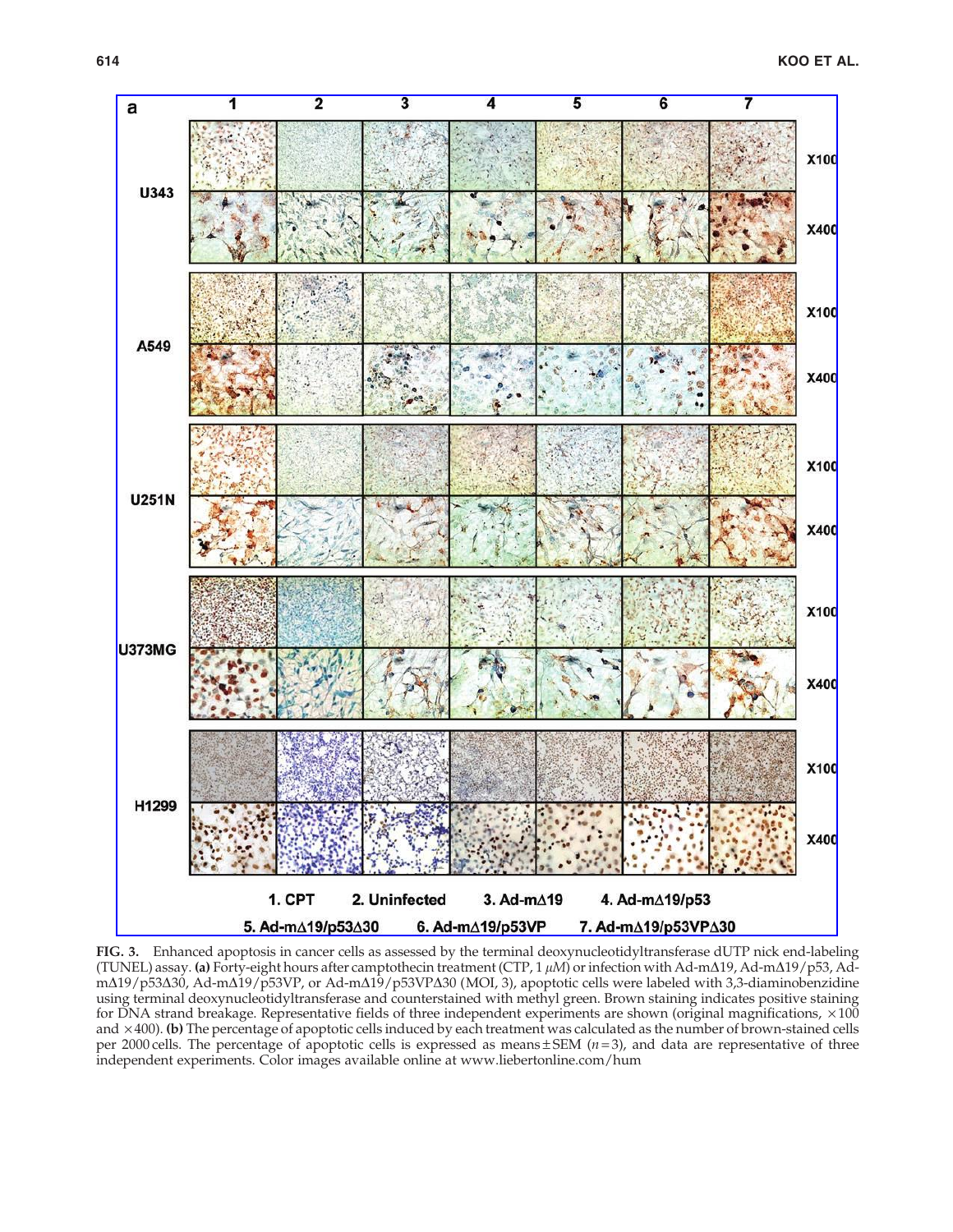

FIG. 3. Enhanced apoptosis in cancer cells as assessed by the terminal deoxynucleotidyltransferase dUTP nick end-labeling (TUNEL) assay. (a) Forty-eight hours after camptothecin treatment (CTP, 1  $\mu$ M) or infection with Ad-m $\Delta$ 19, Ad-m $\Delta$ 19/p53, Adm $\Delta$ 19/p53 $\Delta$ 30, Ad-m $\Delta$ 19/p53VP, or Ad-m $\Delta$ 19/p53VP $\Delta$ 30 (MOI, 3), apoptotic cells were labeled with 3,3-diaminobenzidine using terminal deoxynucleotidyltransferase and counterstained with methyl green. Brown staining indicates positive staining for DNA strand breakage. Representative fields of three independent experiments are shown (original magnifications,  $\times 100$ and  $\times$ 400). (b) The percentage of apoptotic cells induced by each treatment was calculated as the number of brown-stained cells per 2000 cells. The percentage of apoptotic cells is expressed as means  $\pm$  SEM (*n* = 3), and data are representative of three independent experiments. Color images available online at www.liebertonline.com/hum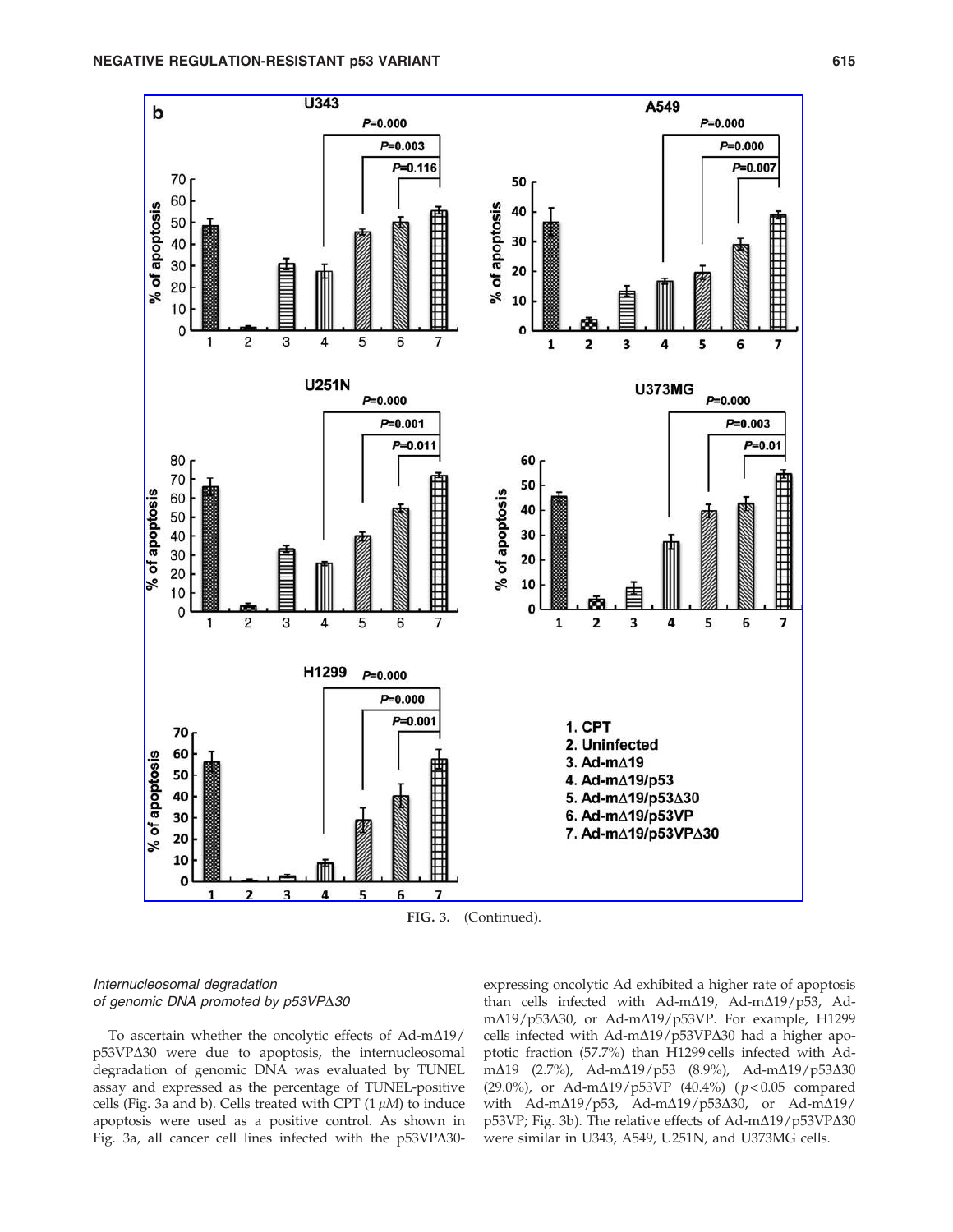

FIG. 3. (Continued).

# Internucleosomal degradation of genomic DNA promoted by p53VP $\Delta 30$

To ascertain whether the oncolytic effects of  $Ad-m\Delta19/$ p53VP $\Delta$ 30 were due to apoptosis, the internucleosomal degradation of genomic DNA was evaluated by TUNEL assay and expressed as the percentage of TUNEL-positive cells (Fig. 3a and b). Cells treated with CPT  $(1 \mu M)$  to induce apoptosis were used as a positive control. As shown in Fig. 3a, all cancer cell lines infected with the  $p53VP\Delta30-$  expressing oncolytic Ad exhibited a higher rate of apoptosis than cells infected with Ad-m $\Delta$ 19, Ad-m $\Delta$ 19/p53, AdmΔ19/p53Δ30, or Ad-mΔ19/p53VP. For example, H1299 cells infected with  $Ad-m\Delta19/p53VP\Delta30$  had a higher apoptotic fraction (57.7%) than H1299 cells infected with Adm $\Delta$ 19 (2.7%), Ad-m $\Delta$ 19/p53 (8.9%), Ad-m $\Delta$ 19/p53 $\Delta$ 30 (29.0%), or Ad-m $\Delta$ 19/p53VP (40.4%) ( $p$  < 0.05 compared with Ad-m $\Delta$ 19/p53, Ad-m $\Delta$ 19/p53 $\Delta$ 30, or Ad-m $\Delta$ 19/ p53VP; Fig. 3b). The relative effects of Ad-m $\Delta$ 19/p53VP $\Delta$ 30 were similar in U343, A549, U251N, and U373MG cells.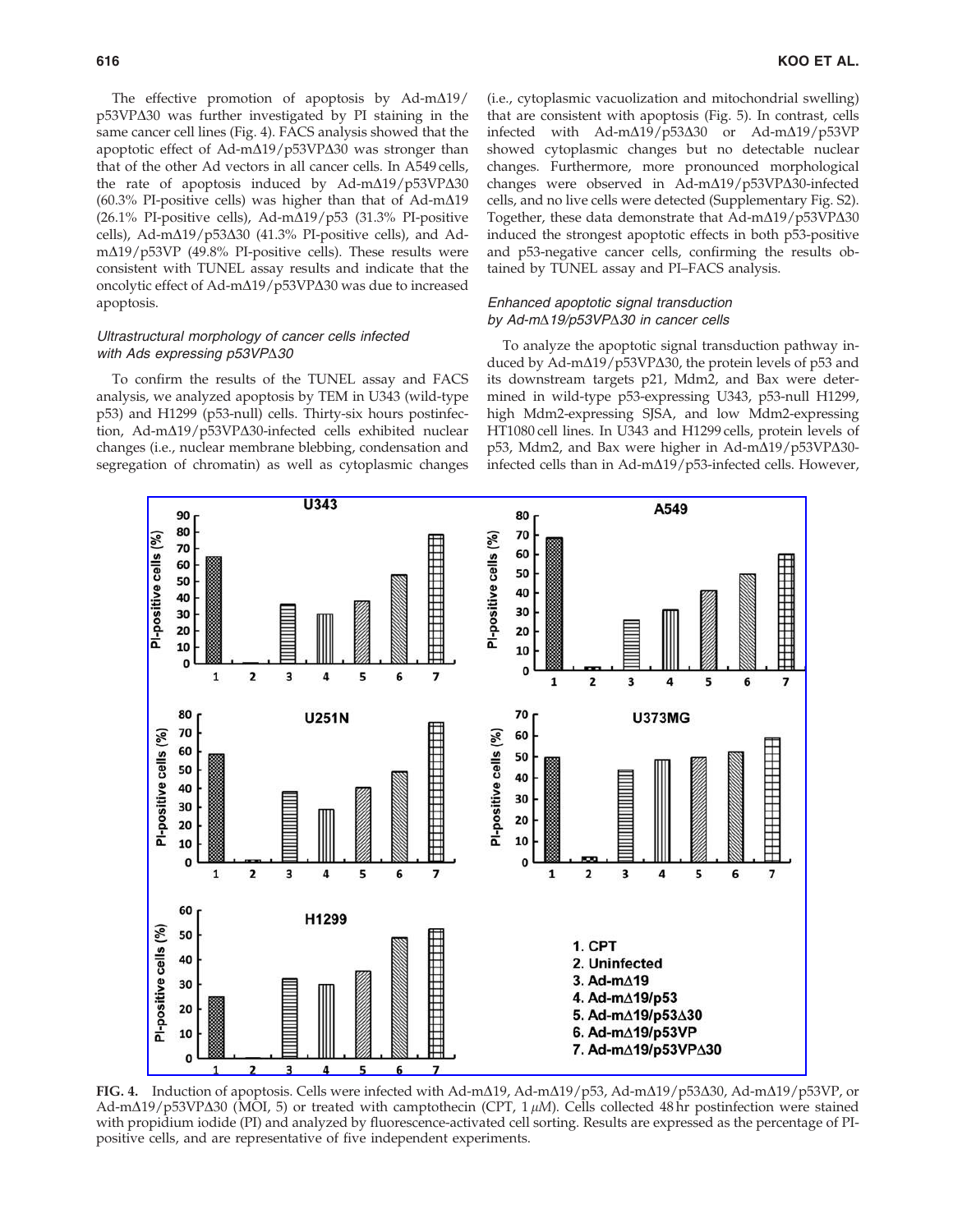(60.3% PI-positive cells) was higher than that of Ad-m $\Delta$ 19 (26.1% PI-positive cells), Ad-m $\Delta$ 19/p53 (31.3% PI-positive cells), Ad-m $\Delta$ 19/p53 $\Delta$ 30 (41.3% PI-positive cells), and Ad $m\Delta$ 19/p53VP (49.8% PI-positive cells). These results were consistent with TUNEL assay results and indicate that the oncolytic effect of Ad-m $\Delta$ 19/p53VP $\Delta$ 30 was due to increased apoptosis.

## Ultrastructural morphology of cancer cells infected with Ads expressing  $p53VP\Delta30$

To confirm the results of the TUNEL assay and FACS analysis, we analyzed apoptosis by TEM in U343 (wild-type p53) and H1299 (p53-null) cells. Thirty-six hours postinfection, Ad-m $\Delta$ 19/p53VP $\Delta$ 30-infected cells exhibited nuclear changes (i.e., nuclear membrane blebbing, condensation and segregation of chromatin) as well as cytoplasmic changes (i.e., cytoplasmic vacuolization and mitochondrial swelling) that are consistent with apoptosis (Fig. 5). In contrast, cells infected with Ad-m $\Delta$ 19/p53 $\Delta$ 30 or Ad-m $\Delta$ 19/p53VP showed cytoplasmic changes but no detectable nuclear changes. Furthermore, more pronounced morphological changes were observed in Ad-m $\Delta$ 19/p53VP $\Delta$ 30-infected cells, and no live cells were detected (Supplementary Fig. S2). Together, these data demonstrate that  $Ad-m\Delta19/p53VP\Delta30$ induced the strongest apoptotic effects in both p53-positive and p53-negative cancer cells, confirming the results obtained by TUNEL assay and PI–FACS analysis.

## Enhanced apoptotic signal transduction by Ad-m $\triangle$ 19/p53VP $\triangle$ 30 in cancer cells

To analyze the apoptotic signal transduction pathway induced by Ad-m $\Delta$ 19/p53VP $\Delta$ 30, the protein levels of p53 and its downstream targets p21, Mdm2, and Bax were determined in wild-type p53-expressing U343, p53-null H1299, high Mdm2-expressing SJSA, and low Mdm2-expressing HT1080 cell lines. In U343 and H1299 cells, protein levels of  $p53$ , Mdm2, and Bax were higher in Ad-m $\Delta$ 19/p53VP $\Delta$ 30infected cells than in Ad-m $\Delta$ 19/p53-infected cells. However,



FIG. 4. Induction of apoptosis. Cells were infected with Ad-m $\Delta$ 19, Ad-m $\Delta$ 19/p53, Ad-m $\Delta$ 19/p53 $\Delta$ 30, Ad-m $\Delta$ 19/p53VP, or Ad-m $\Delta$ 19/p53VP $\Delta$ 30 (MOI, 5) or treated with camptothecin (CPT, 1  $\mu$ M). Cells collected 48 hr postinfection were stained with propidium iodide (PI) and analyzed by fluorescence-activated cell sorting. Results are expressed as the percentage of PIpositive cells, and are representative of five independent experiments.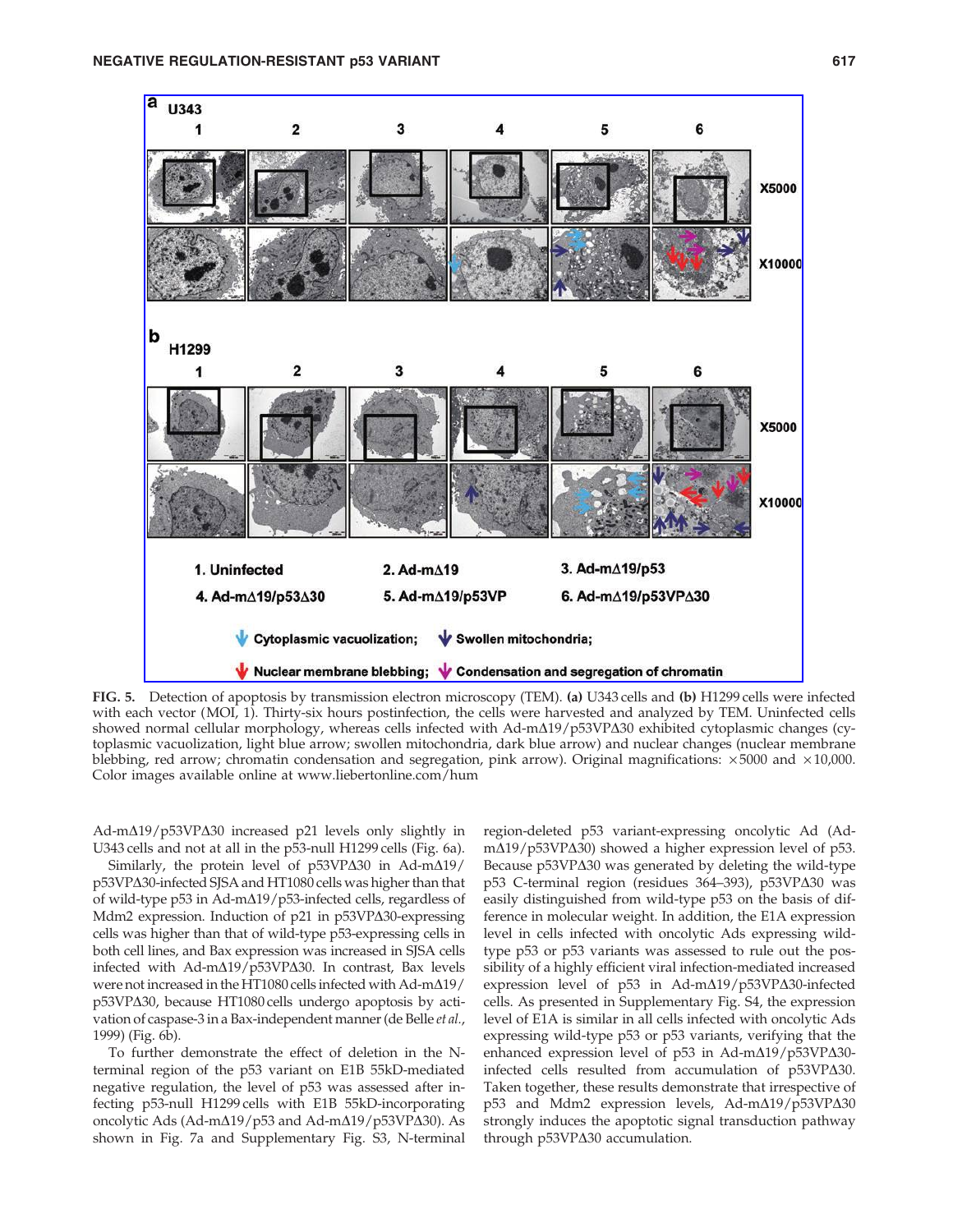

FIG. 5. Detection of apoptosis by transmission electron microscopy (TEM). (a) U343 cells and (b) H1299 cells were infected with each vector (MOI, 1). Thirty-six hours postinfection, the cells were harvested and analyzed by TEM. Uninfected cells showed normal cellular morphology, whereas cells infected with Ad-m $\Delta$ 19/p53VP $\Delta$ 30 exhibited cytoplasmic changes (cytoplasmic vacuolization, light blue arrow; swollen mitochondria, dark blue arrow) and nuclear changes (nuclear membrane blebbing, red arrow; chromatin condensation and segregation, pink arrow). Original magnifications:  $\times 5000$  and  $\times 10,000$ . Color images available online at www.liebertonline.com/hum

 $Ad-m\Delta19/p53VP\Delta30$  increased p21 levels only slightly in U343 cells and not at all in the p53-null H1299 cells (Fig. 6a).

Similarly, the protein level of  $p53VP\Delta30$  in Ad-m $\Delta19/$ p53VP $\Delta$ 30-infected SJSA and HT1080 cells was higher than that of wild-type p53 in Ad-m $\Delta$ 19/p53-infected cells, regardless of Mdm2 expression. Induction of p21 in p53VP $\Delta$ 30-expressing cells was higher than that of wild-type p53-expressing cells in both cell lines, and Bax expression was increased in SJSA cells infected with Ad-m $\Delta$ 19/p53VP $\Delta$ 30. In contrast, Bax levels were not increased in the HT1080 cells infected with Ad-m $\Delta$ 19/ p53VP $\Delta$ 30, because HT1080 cells undergo apoptosis by activation of caspase-3 in a Bax-independent manner (de Belle et al., 1999) (Fig. 6b).

To further demonstrate the effect of deletion in the Nterminal region of the p53 variant on E1B 55kD-mediated negative regulation, the level of p53 was assessed after infecting p53-null H1299 cells with E1B 55kD-incorporating oncolytic Ads (Ad-m $\Delta$ 19/p53 and Ad-m $\Delta$ 19/p53VP $\Delta$ 30). As shown in Fig. 7a and Supplementary Fig. S3, N-terminal region-deleted p53 variant-expressing oncolytic Ad (Ad $m\Delta$ 19/p53VP $\Delta$ 30) showed a higher expression level of p53. Because  $p53VP\Delta30$  was generated by deleting the wild-type p53 C-terminal region (residues 364-393), p53VPΔ30 was easily distinguished from wild-type p53 on the basis of difference in molecular weight. In addition, the E1A expression level in cells infected with oncolytic Ads expressing wildtype p53 or p53 variants was assessed to rule out the possibility of a highly efficient viral infection-mediated increased expression level of  $p53$  in Ad-m $\Delta$ 19/p53VP $\Delta$ 30-infected cells. As presented in Supplementary Fig. S4, the expression level of E1A is similar in all cells infected with oncolytic Ads expressing wild-type p53 or p53 variants, verifying that the enhanced expression level of p53 in Ad-m $\Delta$ 19/p53VP $\Delta$ 30infected cells resulted from accumulation of  $p53VP\Delta30$ . Taken together, these results demonstrate that irrespective of  $p53$  and Mdm2 expression levels, Ad-m $\Delta$ 19/p53VP $\Delta$ 30 strongly induces the apoptotic signal transduction pathway through p53VP $\Delta$ 30 accumulation.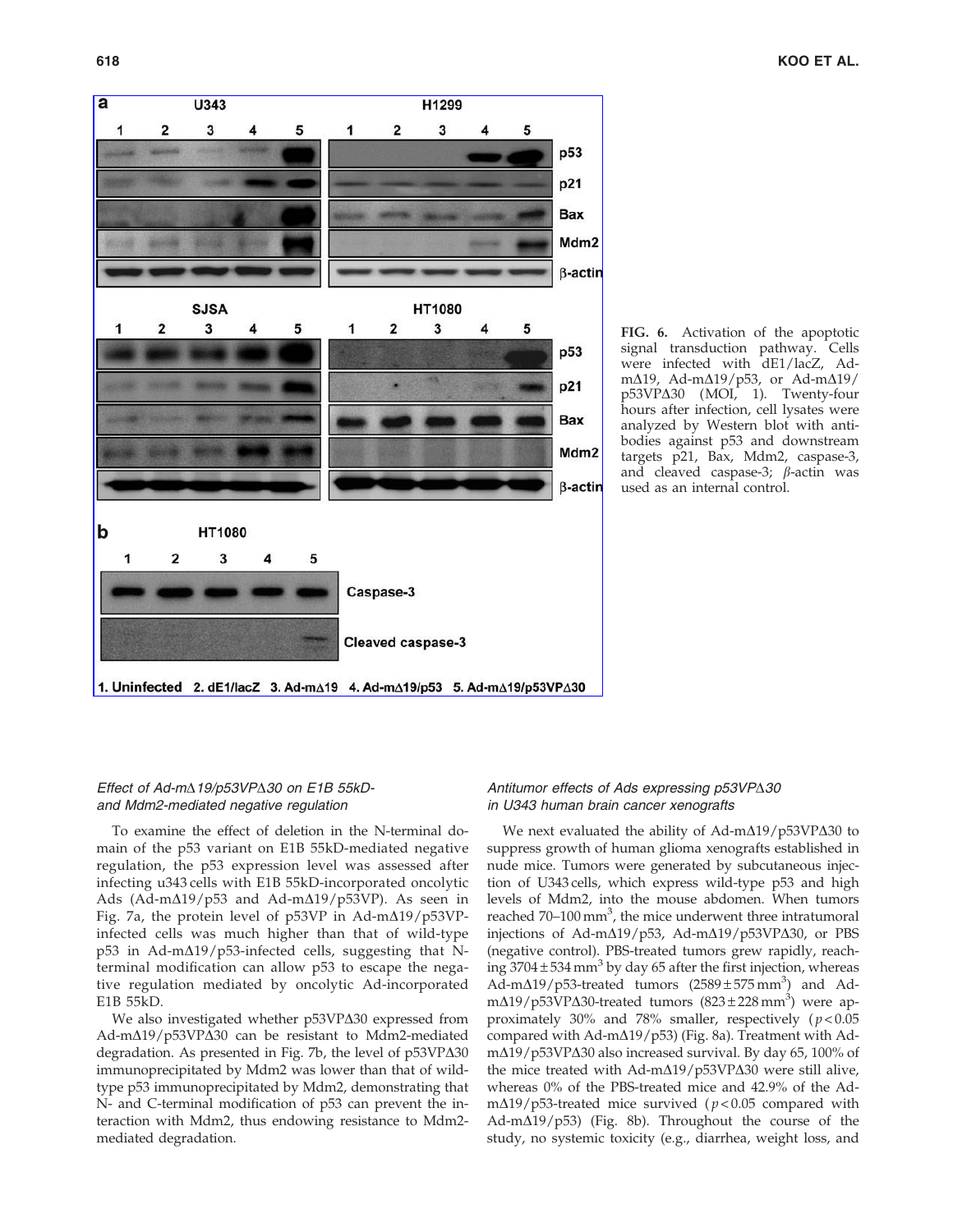



# Effect of Ad-m $\triangle$ 19/p53VP $\triangle$ 30 on E1B 55kDand Mdm2-mediated negative regulation

To examine the effect of deletion in the N-terminal domain of the p53 variant on E1B 55kD-mediated negative regulation, the p53 expression level was assessed after infecting u343 cells with E1B 55kD-incorporated oncolytic Ads (Ad-m $\Delta$ 19/p53 and Ad-m $\Delta$ 19/p53VP). As seen in Fig. 7a, the protein level of  $p53VP$  in Ad-m $\Delta$ 19/ $p53VP$ infected cells was much higher than that of wild-type  $p53$  in Ad-m $\Delta$ 19/p53-infected cells, suggesting that Nterminal modification can allow p53 to escape the negative regulation mediated by oncolytic Ad-incorporated E1B 55kD.

We also investigated whether p53VP $\Delta$ 30 expressed from Ad-m $\Delta$ 19/p53VP $\Delta$ 30 can be resistant to Mdm2-mediated degradation. As presented in Fig. 7b, the level of  $p53VP\Delta30$ immunoprecipitated by Mdm2 was lower than that of wildtype p53 immunoprecipitated by Mdm2, demonstrating that N- and C-terminal modification of p53 can prevent the interaction with Mdm2, thus endowing resistance to Mdm2 mediated degradation.

## Antitumor effects of Ads expressing  $p53VP\Delta30$ in U343 human brain cancer xenografts

We next evaluated the ability of Ad-m $\Delta$ 19/p53VP $\Delta$ 30 to suppress growth of human glioma xenografts established in nude mice. Tumors were generated by subcutaneous injection of U343 cells, which express wild-type p53 and high levels of Mdm2, into the mouse abdomen. When tumors reached 70–100 mm<sup>3</sup>, the mice underwent three intratumoral injections of Ad-m $\Delta$ 19/p53, Ad-m $\Delta$ 19/p53VP $\Delta$ 30, or PBS (negative control). PBS-treated tumors grew rapidly, reaching  $3704 \pm 534$  mm<sup>3</sup> by day 65 after the first injection, whereas  $\overrightarrow{AA}$ -m $\Delta$ 19/p53-treated tumors (2589±575 mm<sup>3</sup>) and Adm∆19/p53VP∆30-treated tumors (823±228 mm<sup>3</sup>) were approximately 30% and 78% smaller, respectively  $(p < 0.05$ compared with Ad-m $\Delta$ 19/p53) (Fig. 8a). Treatment with Adm $\Delta$ 19/p53VP $\Delta$ 30 also increased survival. By day 65, 100% of the mice treated with Ad-m $\Delta$ 19/p53VP $\Delta$ 30 were still alive, whereas 0% of the PBS-treated mice and 42.9% of the Adm $\Delta$ 19/p53-treated mice survived ( $p$ <0.05 compared with Ad-m $\Delta$ 19/p53) (Fig. 8b). Throughout the course of the study, no systemic toxicity (e.g., diarrhea, weight loss, and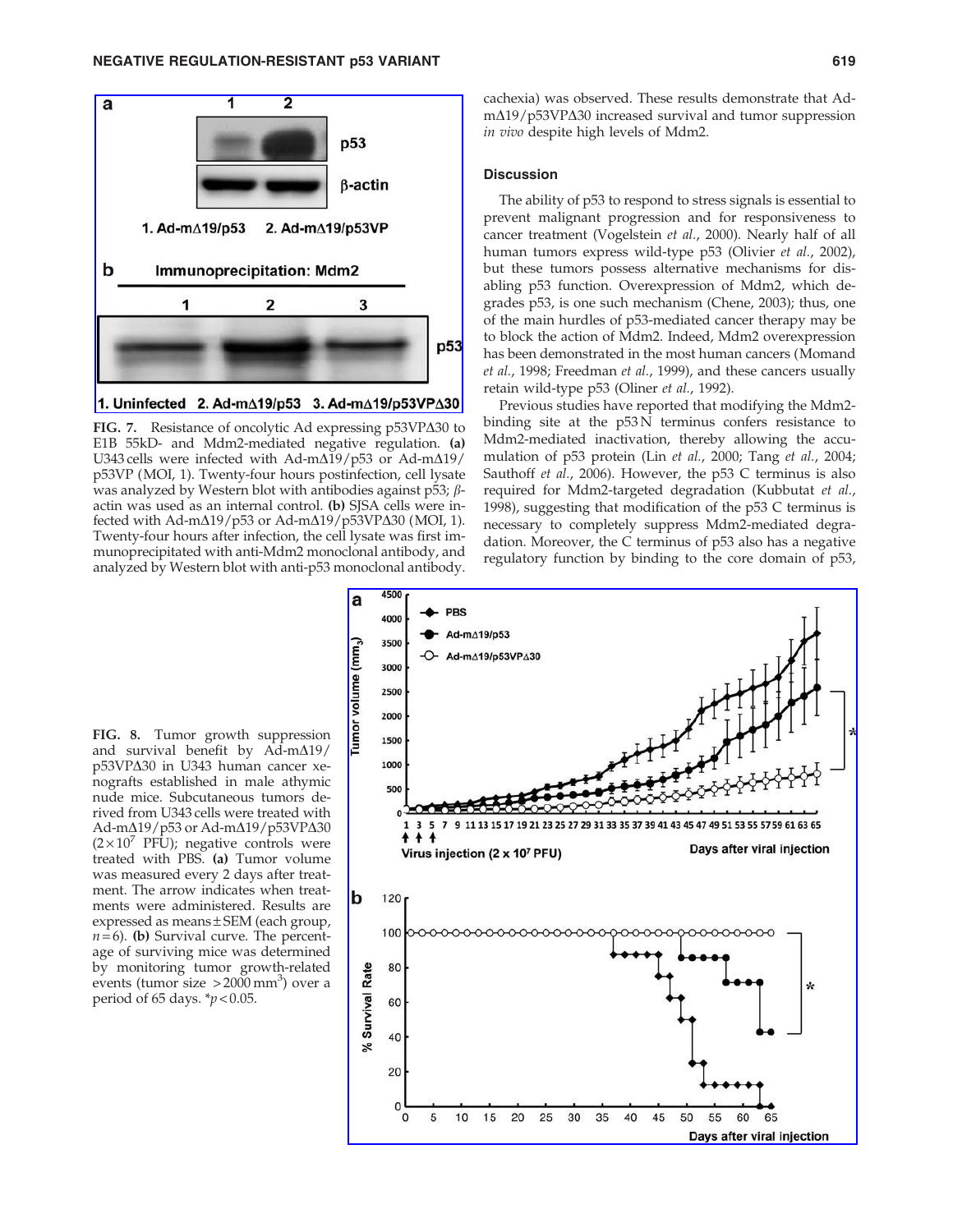

FIG. 7. Resistance of oncolytic Ad expressing p53VP $\Delta$ 30 to E1B 55kD- and Mdm2-mediated negative regulation. (a) U343 cells were infected with Ad-m $\Delta$ 19/p53 or Ad-m $\Delta$ 19/ p53VP (MOI, 1). Twenty-four hours postinfection, cell lysate was analyzed by Western blot with antibodies against p53;  $\beta$ actin was used as an internal control. (b) SJSA cells were infected with Ad-m $\Delta$ 19/p53 or Ad-m $\Delta$ 19/p53VP $\Delta$ 30 (MOI, 1). Twenty-four hours after infection, the cell lysate was first immunoprecipitated with anti-Mdm2 monoclonal antibody, and analyzed by Western blot with anti-p53 monoclonal antibody.

cachexia) was observed. These results demonstrate that Ad $m\Delta$ 19/p53VP $\Delta$ 30 increased survival and tumor suppression in vivo despite high levels of Mdm2.

#### **Discussion**

The ability of p53 to respond to stress signals is essential to prevent malignant progression and for responsiveness to cancer treatment (Vogelstein et al., 2000). Nearly half of all human tumors express wild-type p53 (Olivier et al., 2002), but these tumors possess alternative mechanisms for disabling p53 function. Overexpression of Mdm2, which degrades p53, is one such mechanism (Chene, 2003); thus, one of the main hurdles of p53-mediated cancer therapy may be to block the action of Mdm2. Indeed, Mdm2 overexpression has been demonstrated in the most human cancers (Momand et al., 1998; Freedman et al., 1999), and these cancers usually retain wild-type p53 (Oliner et al., 1992).

Previous studies have reported that modifying the Mdm2 binding site at the p53 N terminus confers resistance to Mdm2-mediated inactivation, thereby allowing the accumulation of p53 protein (Lin et al., 2000; Tang et al., 2004; Sauthoff et al., 2006). However, the p53 C terminus is also required for Mdm2-targeted degradation (Kubbutat et al., 1998), suggesting that modification of the p53 C terminus is necessary to completely suppress Mdm2-mediated degradation. Moreover, the C terminus of p53 also has a negative regulatory function by binding to the core domain of p53,

FIG. 8. Tumor growth suppression and survival benefit by  $\overrightarrow{Ad-m}\Delta19/$ p53VPΔ30 in U343 human cancer xenografts established in male athymic nude mice. Subcutaneous tumors derived from U343 cells were treated with Ad-mΔ19/p53 or Ad-mΔ19/p53VPΔ30  $(2\times10^{7}$  PFU); negative controls were treated with PBS. (a) Tumor volume was measured every 2 days after treatment. The arrow indicates when treatments were administered. Results are expressed as means ± SEM (each group,  $n=6$ ). (b) Survival curve. The percentage of surviving mice was determined by monitoring tumor growth-related events (tumor size  $>2000$  mm<sup>3</sup>) over a period of 65 days.  $\frac{*}{p}$  < 0.05.

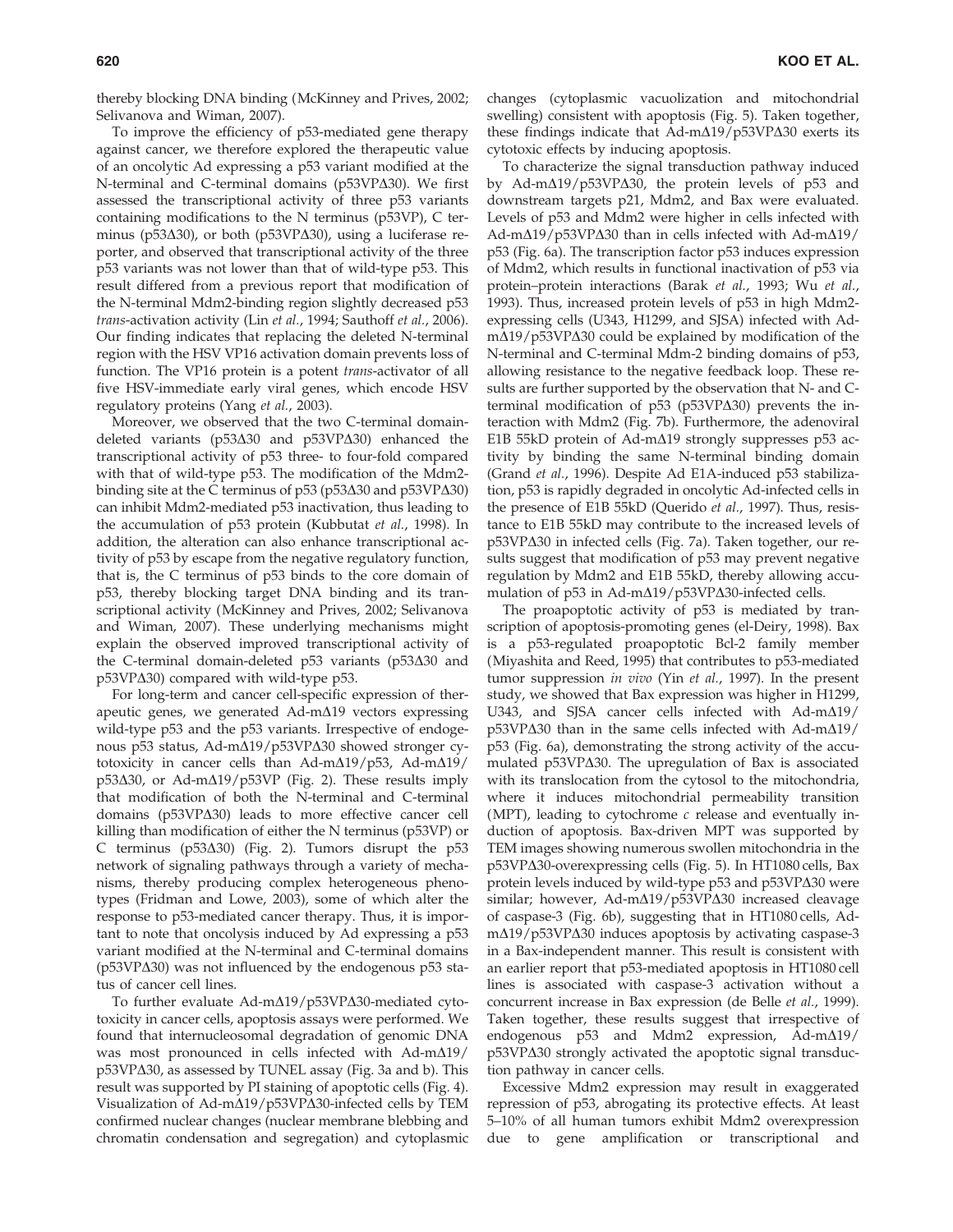thereby blocking DNA binding (McKinney and Prives, 2002; Selivanova and Wiman, 2007).

To improve the efficiency of p53-mediated gene therapy against cancer, we therefore explored the therapeutic value of an oncolytic Ad expressing a p53 variant modified at the N-terminal and C-terminal domains ( $p53VP\Delta30$ ). We first assessed the transcriptional activity of three p53 variants containing modifications to the N terminus (p53VP), C terminus (p53 $\Delta$ 30), or both (p53VP $\Delta$ 30), using a luciferase reporter, and observed that transcriptional activity of the three p53 variants was not lower than that of wild-type p53. This result differed from a previous report that modification of the N-terminal Mdm2-binding region slightly decreased p53 trans-activation activity (Lin et al., 1994; Sauthoff et al., 2006). Our finding indicates that replacing the deleted N-terminal region with the HSV VP16 activation domain prevents loss of function. The VP16 protein is a potent trans-activator of all five HSV-immediate early viral genes, which encode HSV regulatory proteins (Yang et al., 2003).

Moreover, we observed that the two C-terminal domaindeleted variants ( $p53\Delta30$  and  $p53VP\Delta30$ ) enhanced the transcriptional activity of p53 three- to four-fold compared with that of wild-type p53. The modification of the Mdm2 binding site at the C terminus of  $p53 (p53\Delta30)$  and  $p53VP\Delta30$ ) can inhibit Mdm2-mediated p53 inactivation, thus leading to the accumulation of p53 protein (Kubbutat et al., 1998). In addition, the alteration can also enhance transcriptional activity of p53 by escape from the negative regulatory function, that is, the C terminus of p53 binds to the core domain of p53, thereby blocking target DNA binding and its transcriptional activity (McKinney and Prives, 2002; Selivanova and Wiman, 2007). These underlying mechanisms might explain the observed improved transcriptional activity of the C-terminal domain-deleted p53 variants (p53 $\Delta$ 30 and  $p53VP\Delta30$ ) compared with wild-type p53.

For long-term and cancer cell-specific expression of therapeutic genes, we generated  $Ad-m\Delta19$  vectors expressing wild-type p53 and the p53 variants. Irrespective of endogenous p53 status, Ad-m $\Delta$ 19/p53VP $\Delta$ 30 showed stronger cytotoxicity in cancer cells than Ad-m $\Delta$ 19/p53, Ad-m $\Delta$ 19/  $p53\Delta30$ , or Ad-m $\Delta19/p53VP$  (Fig. 2). These results imply that modification of both the N-terminal and C-terminal domains ( $p53VP\Delta30$ ) leads to more effective cancer cell killing than modification of either the N terminus (p53VP) or C terminus ( $p53\Delta30$ ) (Fig. 2). Tumors disrupt the  $p53$ network of signaling pathways through a variety of mechanisms, thereby producing complex heterogeneous phenotypes (Fridman and Lowe, 2003), some of which alter the response to p53-mediated cancer therapy. Thus, it is important to note that oncolysis induced by Ad expressing a p53 variant modified at the N-terminal and C-terminal domains ( $p53VP\Delta30$ ) was not influenced by the endogenous  $p53$  status of cancer cell lines.

To further evaluate Ad-m $\Delta$ 19/p53VP $\Delta$ 30-mediated cytotoxicity in cancer cells, apoptosis assays were performed. We found that internucleosomal degradation of genomic DNA was most pronounced in cells infected with  $Ad-m\Delta19/$  $p53VP\Delta30$ , as assessed by TUNEL assay (Fig. 3a and b). This result was supported by PI staining of apoptotic cells (Fig. 4). Visualization of Ad-m $\Delta$ 19/p53VP $\Delta$ 30-infected cells by TEM confirmed nuclear changes (nuclear membrane blebbing and chromatin condensation and segregation) and cytoplasmic changes (cytoplasmic vacuolization and mitochondrial swelling) consistent with apoptosis (Fig. 5). Taken together, these findings indicate that  $Ad-m\Delta19/p53VP\Delta30$  exerts its cytotoxic effects by inducing apoptosis.

To characterize the signal transduction pathway induced by Ad-m $\Delta$ 19/p53VP $\Delta$ 30, the protein levels of p53 and downstream targets p21, Mdm2, and Bax were evaluated. Levels of p53 and Mdm2 were higher in cells infected with Ad-m $\Delta$ 19/p53VP $\Delta$ 30 than in cells infected with Ad-m $\Delta$ 19/ p53 (Fig. 6a). The transcription factor p53 induces expression of Mdm2, which results in functional inactivation of p53 via protein–protein interactions (Barak et al., 1993; Wu et al., 1993). Thus, increased protein levels of p53 in high Mdm2 expressing cells (U343, H1299, and SJSA) infected with Ad $m\Delta$ 19/p53VP $\Delta$ 30 could be explained by modification of the N-terminal and C-terminal Mdm-2 binding domains of p53, allowing resistance to the negative feedback loop. These results are further supported by the observation that N- and Cterminal modification of  $p53 (p53VP\Delta30)$  prevents the interaction with Mdm2 (Fig. 7b). Furthermore, the adenoviral E1B 55kD protein of Ad-m $\Delta$ 19 strongly suppresses p53 activity by binding the same N-terminal binding domain (Grand et al., 1996). Despite Ad E1A-induced p53 stabilization, p53 is rapidly degraded in oncolytic Ad-infected cells in the presence of E1B 55kD (Querido et al., 1997). Thus, resistance to E1B 55kD may contribute to the increased levels of p53VP $\Delta$ 30 in infected cells (Fig. 7a). Taken together, our results suggest that modification of p53 may prevent negative regulation by Mdm2 and E1B 55kD, thereby allowing accumulation of  $p53$  in Ad-m $\Delta$ 19/p53VP $\Delta$ 30-infected cells.

The proapoptotic activity of p53 is mediated by transcription of apoptosis-promoting genes (el-Deiry, 1998). Bax is a p53-regulated proapoptotic Bcl-2 family member (Miyashita and Reed, 1995) that contributes to p53-mediated tumor suppression in vivo (Yin et al., 1997). In the present study, we showed that Bax expression was higher in H1299, U343, and SJSA cancer cells infected with Ad-m $\Delta$ 19/  $p53VP\Delta30$  than in the same cells infected with Ad-m $\Delta19/$ p53 (Fig. 6a), demonstrating the strong activity of the accumulated  $p53VP\Delta30$ . The upregulation of Bax is associated with its translocation from the cytosol to the mitochondria, where it induces mitochondrial permeability transition (MPT), leading to cytochrome  $c$  release and eventually induction of apoptosis. Bax-driven MPT was supported by TEM images showing numerous swollen mitochondria in the p53VP $\Delta$ 30-overexpressing cells (Fig. 5). In HT1080 cells, Bax protein levels induced by wild-type  $p53$  and  $p53VP\Delta30$  were similar; however, Ad-m $\Delta$ 19/p53VP $\Delta$ 30 increased cleavage of caspase-3 (Fig. 6b), suggesting that in HT1080 cells, Ad $m\Delta$ 19/p53VP $\Delta$ 30 induces apoptosis by activating caspase-3 in a Bax-independent manner. This result is consistent with an earlier report that p53-mediated apoptosis in HT1080 cell lines is associated with caspase-3 activation without a concurrent increase in Bax expression (de Belle et al., 1999). Taken together, these results suggest that irrespective of endogenous  $p53$  and Mdm2 expression, Ad-m $\Delta$ 19/  $p53VP\Delta30$  strongly activated the apoptotic signal transduction pathway in cancer cells.

Excessive Mdm2 expression may result in exaggerated repression of p53, abrogating its protective effects. At least 5–10% of all human tumors exhibit Mdm2 overexpression due to gene amplification or transcriptional and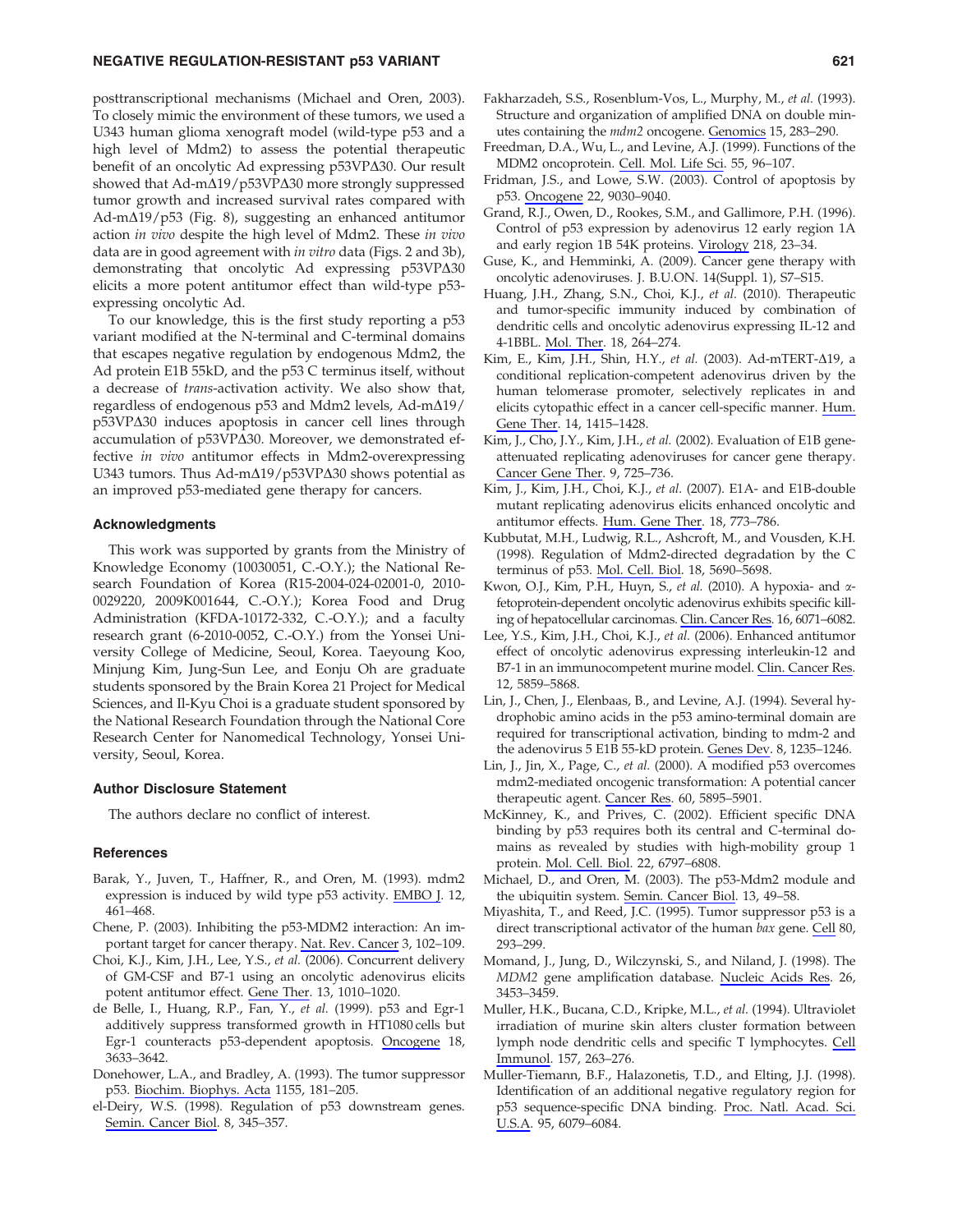#### NEGATIVE REGULATION-RESISTANT p53 VARIANT 621

posttranscriptional mechanisms (Michael and Oren, 2003). To closely mimic the environment of these tumors, we used a U343 human glioma xenograft model (wild-type p53 and a high level of Mdm2) to assess the potential therapeutic benefit of an oncolytic Ad expressing  $p53VP\Delta30$ . Our result showed that Ad-m $\Delta$ 19/p53VP $\Delta$ 30 more strongly suppressed tumor growth and increased survival rates compared with Ad-m $\Delta$ 19/p53 (Fig. 8), suggesting an enhanced antitumor action in vivo despite the high level of Mdm2. These in vivo data are in good agreement with in vitro data (Figs. 2 and 3b), demonstrating that oncolytic Ad expressing  $p53VP\Delta30$ elicits a more potent antitumor effect than wild-type p53 expressing oncolytic Ad.

To our knowledge, this is the first study reporting a p53 variant modified at the N-terminal and C-terminal domains that escapes negative regulation by endogenous Mdm2, the Ad protein E1B 55kD, and the p53 C terminus itself, without a decrease of trans-activation activity. We also show that, regardless of endogenous  $p53$  and Mdm2 levels, Ad-m $\Delta$ 19/  $p53VP\Delta30$  induces apoptosis in cancer cell lines through accumulation of  $p53VP\Delta30$ . Moreover, we demonstrated effective in vivo antitumor effects in Mdm2-overexpressing U343 tumors. Thus Ad-m $\Delta$ 19/p53VP $\Delta$ 30 shows potential as an improved p53-mediated gene therapy for cancers.

#### Acknowledgments

This work was supported by grants from the Ministry of Knowledge Economy (10030051, C.-O.Y.); the National Research Foundation of Korea (R15-2004-024-02001-0, 2010- 0029220, 2009K001644, C.-O.Y.); Korea Food and Drug Administration (KFDA-10172-332, C.-O.Y.); and a faculty research grant (6-2010-0052, C.-O.Y.) from the Yonsei University College of Medicine, Seoul, Korea. Taeyoung Koo, Minjung Kim, Jung-Sun Lee, and Eonju Oh are graduate students sponsored by the Brain Korea 21 Project for Medical Sciences, and Il-Kyu Choi is a graduate student sponsored by the National Research Foundation through the National Core Research Center for Nanomedical Technology, Yonsei University, Seoul, Korea.

## Author Disclosure Statement

The authors declare no conflict of interest.

#### **References**

- Barak, Y., Juven, T., Haffner, R., and Oren, M. (1993). mdm2 expression is induced by wild type p53 activity. EMBO J. 12, 461–468.
- Chene, P. (2003). Inhibiting the p53-MDM2 interaction: An important target for cancer therapy. Nat. Rev. Cancer 3, 102–109.
- Choi, K.J., Kim, J.H., Lee, Y.S., et al. (2006). Concurrent delivery of GM-CSF and B7-1 using an oncolytic adenovirus elicits potent antitumor effect. Gene Ther. 13, 1010–1020.
- de Belle, I., Huang, R.P., Fan, Y., et al. (1999). p53 and Egr-1 additively suppress transformed growth in HT1080 cells but Egr-1 counteracts p53-dependent apoptosis. Oncogene 18, 3633–3642.
- Donehower, L.A., and Bradley, A. (1993). The tumor suppressor p53. Biochim. Biophys. Acta 1155, 181–205.
- el-Deiry, W.S. (1998). Regulation of p53 downstream genes. Semin. Cancer Biol. 8, 345–357.
- Fakharzadeh, S.S., Rosenblum-Vos, L., Murphy, M., et al. (1993). Structure and organization of amplified DNA on double minutes containing the mdm2 oncogene. Genomics 15, 283–290.
- Freedman, D.A., Wu, L., and Levine, A.J. (1999). Functions of the MDM2 oncoprotein. Cell. Mol. Life Sci. 55, 96–107.
- Fridman, J.S., and Lowe, S.W. (2003). Control of apoptosis by p53. Oncogene 22, 9030–9040.
- Grand, R.J., Owen, D., Rookes, S.M., and Gallimore, P.H. (1996). Control of p53 expression by adenovirus 12 early region 1A and early region 1B 54K proteins. Virology 218, 23–34.
- Guse, K., and Hemminki, A. (2009). Cancer gene therapy with oncolytic adenoviruses. J. B.U.ON. 14(Suppl. 1), S7–S15.
- Huang, J.H., Zhang, S.N., Choi, K.J., et al. (2010). Therapeutic and tumor-specific immunity induced by combination of dendritic cells and oncolytic adenovirus expressing IL-12 and 4-1BBL. Mol. Ther. 18, 264–274.
- Kim, E., Kim, J.H., Shin, H.Y., et al. (2003). Ad-mTERT- $\Delta$ 19, a conditional replication-competent adenovirus driven by the human telomerase promoter, selectively replicates in and elicits cytopathic effect in a cancer cell-specific manner. Hum. Gene Ther. 14, 1415–1428.
- Kim, J., Cho, J.Y., Kim, J.H., et al. (2002). Evaluation of E1B geneattenuated replicating adenoviruses for cancer gene therapy. Cancer Gene Ther. 9, 725–736.
- Kim, J., Kim, J.H., Choi, K.J., et al. (2007). E1A- and E1B-double mutant replicating adenovirus elicits enhanced oncolytic and antitumor effects. Hum. Gene Ther. 18, 773–786.
- Kubbutat, M.H., Ludwig, R.L., Ashcroft, M., and Vousden, K.H. (1998). Regulation of Mdm2-directed degradation by the C terminus of p53. Mol. Cell. Biol. 18, 5690–5698.
- Kwon, O.J., Kim, P.H., Huyn, S., et al. (2010). A hypoxia- and afetoprotein-dependent oncolytic adenovirus exhibits specific killing of hepatocellular carcinomas. Clin. Cancer Res. 16, 6071–6082.
- Lee, Y.S., Kim, J.H., Choi, K.J., et al. (2006). Enhanced antitumor effect of oncolytic adenovirus expressing interleukin-12 and B7-1 in an immunocompetent murine model. Clin. Cancer Res. 12, 5859–5868.
- Lin, J., Chen, J., Elenbaas, B., and Levine, A.J. (1994). Several hydrophobic amino acids in the p53 amino-terminal domain are required for transcriptional activation, binding to mdm-2 and the adenovirus 5 E1B 55-kD protein. Genes Dev. 8, 1235–1246.
- Lin, J., Jin, X., Page, C., et al. (2000). A modified p53 overcomes mdm2-mediated oncogenic transformation: A potential cancer therapeutic agent. Cancer Res. 60, 5895–5901.
- McKinney, K., and Prives, C. (2002). Efficient specific DNA binding by p53 requires both its central and C-terminal domains as revealed by studies with high-mobility group 1 protein. Mol. Cell. Biol. 22, 6797–6808.
- Michael, D., and Oren, M. (2003). The p53-Mdm2 module and the ubiquitin system. Semin. Cancer Biol. 13, 49–58.
- Miyashita, T., and Reed, J.C. (1995). Tumor suppressor p53 is a direct transcriptional activator of the human bax gene. Cell 80, 293–299.
- Momand, J., Jung, D., Wilczynski, S., and Niland, J. (1998). The MDM2 gene amplification database. Nucleic Acids Res. 26, 3453–3459.
- Muller, H.K., Bucana, C.D., Kripke, M.L., et al. (1994). Ultraviolet irradiation of murine skin alters cluster formation between lymph node dendritic cells and specific T lymphocytes. Cell Immunol. 157, 263–276.
- Muller-Tiemann, B.F., Halazonetis, T.D., and Elting, J.J. (1998). Identification of an additional negative regulatory region for p53 sequence-specific DNA binding. Proc. Natl. Acad. Sci. U.S.A. 95, 6079–6084.